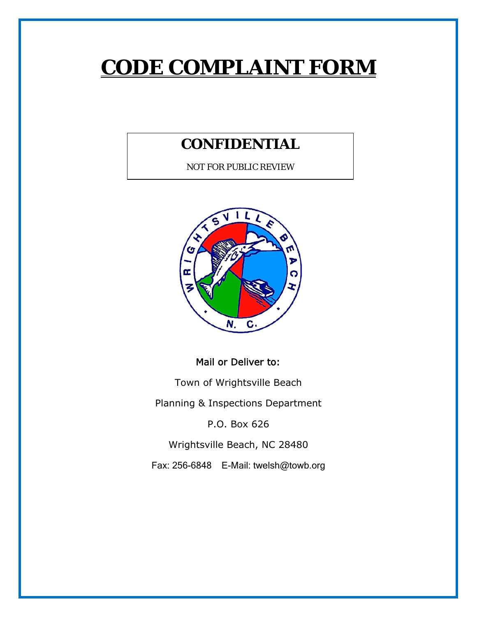# **CODE COMPLAINT FORM**

### **CONFIDENTIAL**

NOT FOR PUBLIC REVIEW



#### Mail or Deliver to:

Town of Wrightsville Beach

Planning & Inspections Department

P.O. Box 626

Wrightsville Beach, NC 28480

Fax: 256-6848 E-Mail: twelsh@towb.org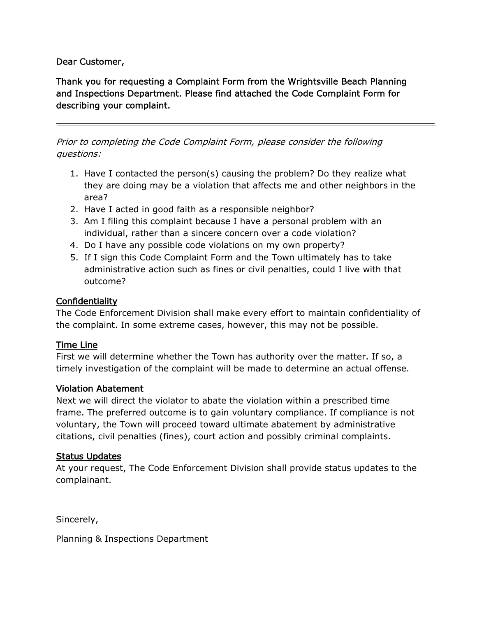#### Dear Customer,

Thank you for requesting a Complaint Form from the Wrightsville Beach Planning and Inspections Department. Please find attached the Code Complaint Form for describing your complaint.

Prior to completing the Code Complaint Form, please consider the following questions:

- 1. Have I contacted the person(s) causing the problem? Do they realize what they are doing may be a violation that affects me and other neighbors in the area?
- 2. Have I acted in good faith as a responsible neighbor?
- 3. Am I filing this complaint because I have a personal problem with an individual, rather than a sincere concern over a code violation?
- 4. Do I have any possible code violations on my own property?
- 5. If I sign this Code Complaint Form and the Town ultimately has to take administrative action such as fines or civil penalties, could I live with that outcome?

#### Confidentiality

The Code Enforcement Division shall make every effort to maintain confidentiality of the complaint. In some extreme cases, however, this may not be possible.

#### Time Line

First we will determine whether the Town has authority over the matter. If so, a timely investigation of the complaint will be made to determine an actual offense.

#### Violation Abatement

Next we will direct the violator to abate the violation within a prescribed time frame. The preferred outcome is to gain voluntary compliance. If compliance is not voluntary, the Town will proceed toward ultimate abatement by administrative citations, civil penalties (fines), court action and possibly criminal complaints.

#### Status Updates

At your request, The Code Enforcement Division shall provide status updates to the complainant.

Sincerely,

Planning & Inspections Department